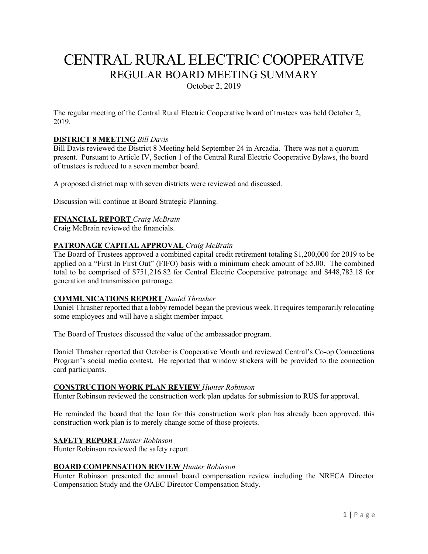# CENTRAL RURAL ELECTRIC COOPERATIVE REGULAR BOARD MEETING SUMMARY

October 2, 2019

The regular meeting of the Central Rural Electric Cooperative board of trustees was held October 2, 2019.

# **DISTRICT 8 MEETING** *Bill Davis*

Bill Davis reviewed the District 8 Meeting held September 24 in Arcadia. There was not a quorum present. Pursuant to Article IV, Section 1 of the Central Rural Electric Cooperative Bylaws, the board of trustees is reduced to a seven member board.

A proposed district map with seven districts were reviewed and discussed.

Discussion will continue at Board Strategic Planning.

# **FINANCIAL REPORT** *Craig McBrain*

Craig McBrain reviewed the financials.

# **PATRONAGE CAPITAL APPROVAL** *Craig McBrain*

The Board of Trustees approved a combined capital credit retirement totaling \$1,200,000 for 2019 to be applied on a "First In First Out" (FIFO) basis with a minimum check amount of \$5.00. The combined total to be comprised of \$751,216.82 for Central Electric Cooperative patronage and \$448,783.18 for generation and transmission patronage.

# **COMMUNICATIONS REPORT** *Daniel Thrasher*

Daniel Thrasher reported that a lobby remodel began the previous week. It requires temporarily relocating some employees and will have a slight member impact.

The Board of Trustees discussed the value of the ambassador program.

Daniel Thrasher reported that October is Cooperative Month and reviewed Central's Co-op Connections Program's social media contest. He reported that window stickers will be provided to the connection card participants.

#### **CONSTRUCTION WORK PLAN REVIEW** *Hunter Robinson*

Hunter Robinson reviewed the construction work plan updates for submission to RUS for approval.

He reminded the board that the loan for this construction work plan has already been approved, this construction work plan is to merely change some of those projects.

# **SAFETY REPORT** *Hunter Robinson*

Hunter Robinson reviewed the safety report.

#### **BOARD COMPENSATION REVIEW** *Hunter Robinson*

Hunter Robinson presented the annual board compensation review including the NRECA Director Compensation Study and the OAEC Director Compensation Study.